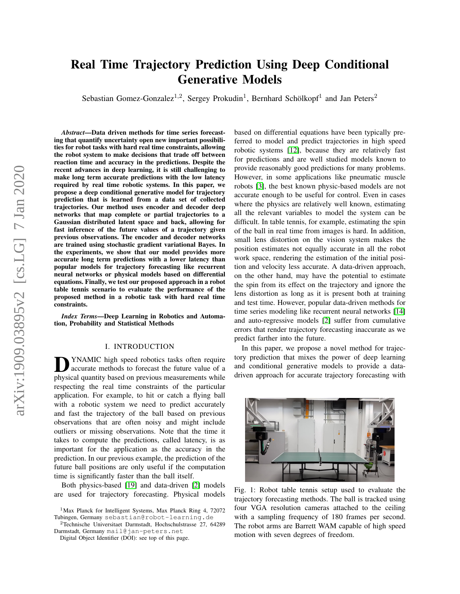# arXiv:1909.03895v2 [cs.LG] 7 Jan 2020 arXiv:1909.03895v2 [cs.LG] 7 Jan 2020

# Real Time Trajectory Prediction Using Deep Conditional Generative Models

Sebastian Gomez-Gonzalez<sup>1,2</sup>, Sergey Prokudin<sup>1</sup>, Bernhard Schölkopf<sup>1</sup> and Jan Peters<sup>2</sup>

*Abstract*—Data driven methods for time series forecasting that quantify uncertainty open new important possibilities for robot tasks with hard real time constraints, allowing the robot system to make decisions that trade off between reaction time and accuracy in the predictions. Despite the recent advances in deep learning, it is still challenging to make long term accurate predictions with the low latency required by real time robotic systems. In this paper, we propose a deep conditional generative model for trajectory prediction that is learned from a data set of collected trajectories. Our method uses encoder and decoder deep networks that map complete or partial trajectories to a Gaussian distributed latent space and back, allowing for fast inference of the future values of a trajectory given previous observations. The encoder and decoder networks are trained using stochastic gradient variational Bayes. In the experiments, we show that our model provides more accurate long term predictions with a lower latency than popular models for trajectory forecasting like recurrent neural networks or physical models based on differential equations. Finally, we test our proposed approach in a robot table tennis scenario to evaluate the performance of the proposed method in a robotic task with hard real time constraints.

*Index Terms*—Deep Learning in Robotics and Automation, Probability and Statistical Methods

# I. INTRODUCTION

**D** YNAMIC high speed robotics tasks often require accurate methods to forecast the future value of a physical quantity based on previous measurements while YNAMIC high speed robotics tasks often require accurate methods to forecast the future value of a respecting the real time constraints of the particular application. For example, to hit or catch a flying ball with a robotic system we need to predict accurately and fast the trajectory of the ball based on previous observations that are often noisy and might include outliers or missing observations. Note that the time it takes to compute the predictions, called latency, is as important for the application as the accuracy in the prediction. In our previous example, the prediction of the future ball positions are only useful if the computation time is significantly faster than the ball itself.

Both physics-based [\[19\]](#page-7-0) and data-driven [\[2\]](#page-7-1) models are used for trajectory forecasting. Physical models

<sup>1</sup>Max Planck for Intelligent Systems, Max Planck Ring 4, 72072 Tubingen, Germany sebastian@robot-learning.de

<sup>2</sup>Technische Universitaet Darmstadt, Hochschulstrasse 27, 64289 Darmstadt, Germany mail@jan-peters.net

Digital Object Identifier (DOI): see top of this page.

based on differential equations have been typically preferred to model and predict trajectories in high speed robotic systems [\[12\]](#page-7-2), because they are relatively fast for predictions and are well studied models known to provide reasonably good predictions for many problems. However, in some applications like pneumatic muscle robots [\[3\]](#page-7-3), the best known physic-based models are not accurate enough to be useful for control. Even in cases where the physics are relatively well known, estimating all the relevant variables to model the system can be difficult. In table tennis, for example, estimating the spin of the ball in real time from images is hard. In addition, small lens distortion on the vision system makes the position estimates not equally accurate in all the robot work space, rendering the estimation of the initial position and velocity less accurate. A data-driven approach, on the other hand, may have the potential to estimate the spin from its effect on the trajectory and ignore the lens distortion as long as it is present both at training and test time. However, popular data-driven methods for time series modeling like recurrent neural networks [\[14\]](#page-7-4) and auto-regressive models [\[2\]](#page-7-1) suffer from cumulative errors that render trajectory forecasting inaccurate as we predict farther into the future.

In this paper, we propose a novel method for trajectory prediction that mixes the power of deep learning and conditional generative models to provide a datadriven approach for accurate trajectory forecasting with

<span id="page-0-0"></span>

Fig. 1: Robot table tennis setup used to evaluate the trajectory forecasting methods. The ball is tracked using four VGA resolution cameras attached to the ceiling with a sampling frequency of 180 frames per second. The robot arms are Barrett WAM capable of high speed motion with seven degrees of freedom.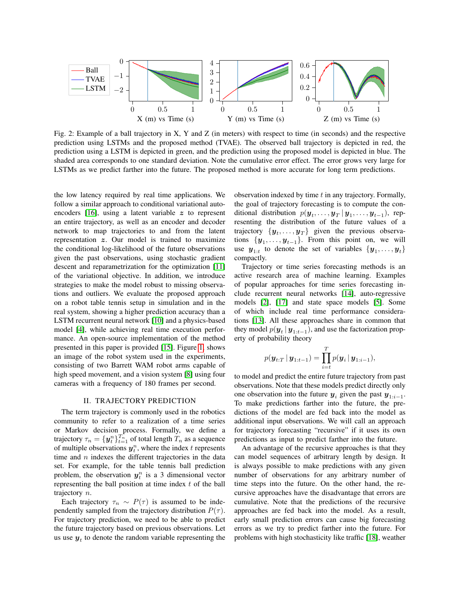<span id="page-1-0"></span>

Fig. 2: Example of a ball trajectory in X, Y and Z (in meters) with respect to time (in seconds) and the respective prediction using LSTMs and the proposed method (TVAE). The observed ball trajectory is depicted in red, the prediction using a LSTM is depicted in green, and the prediction using the proposed model is depicted in blue. The shaded area corresponds to one standard deviation. Note the cumulative error effect. The error grows very large for LSTMs as we predict farther into the future. The proposed method is more accurate for long term predictions.

the low latency required by real time applications. We follow a similar approach to conditional variational autoencoders  $[16]$ , using a latent variable z to represent an entire trajectory, as well as an encoder and decoder network to map trajectories to and from the latent representation z. Our model is trained to maximize the conditional log-likelihood of the future observations given the past observations, using stochastic gradient descent and reparametrization for the optimization [\[11\]](#page-7-6) of the variational objective. In addition, we introduce strategies to make the model robust to missing observations and outliers. We evaluate the proposed approach on a robot table tennis setup in simulation and in the real system, showing a higher prediction accuracy than a LSTM recurrent neural network [\[10\]](#page-7-7) and a physics-based model [\[4\]](#page-7-8), while achieving real time execution performance. An open-source implementation of the method presented in this paper is provided [\[15\]](#page-7-9). Figure [1,](#page-0-0) shows an image of the robot system used in the experiments, consisting of two Barrett WAM robot arms capable of high speed movement, and a vision system [\[8\]](#page-7-10) using four cameras with a frequency of 180 frames per second.

#### II. TRAJECTORY PREDICTION

The term trajectory is commonly used in the robotics community to refer to a realization of a time series or Markov decision process. Formally, we define a trajectory  $\tau_n = \{ \boldsymbol{y}_t^n \}_{t=1}^{T_n}$  of total length  $T_n$  as a sequence of multiple observations  $y_t^n$ , where the index t represents time and  $n$  indexes the different trajectories in the data set. For example, for the table tennis ball prediction problem, the observation  $y_t^n$  is a 3 dimensional vector representing the ball position at time index  $t$  of the ball trajectory n.

Each trajectory  $\tau_n \sim P(\tau)$  is assumed to be independently sampled from the trajectory distribution  $P(\tau)$ . For trajectory prediction, we need to be able to predict the future trajectory based on previous observations. Let us use  $y_t$  to denote the random variable representing the observation indexed by time  $t$  in any trajectory. Formally, the goal of trajectory forecasting is to compute the conditional distribution  $p(\boldsymbol{y}_t, \dots, \boldsymbol{y}_T \,|\, \boldsymbol{y}_1, \dots, \boldsymbol{y}_{t-1}),$  representing the distribution of the future values of a trajectory  $\{y_t, \ldots, y_T\}$  given the previous observations  $\{y_1, \ldots, y_{t-1}\}$ . From this point on, we will use  $y_{1:t}$  to denote the set of variables  $\{y_1, \ldots, y_t\}$ compactly.

Trajectory or time series forecasting methods is an active research area of machine learning. Examples of popular approaches for time series forecasting include recurrent neural networks [\[14\]](#page-7-4), auto-regressive models [\[2\]](#page-7-1), [\[17\]](#page-7-11) and state space models [\[5\]](#page-7-12). Some of which include real time performance considerations [\[13\]](#page-7-13). All these approaches share in common that they model  $p(\mathbf{y}_t | \mathbf{y}_{1:t-1})$ , and use the factorization property of probability theory

$$
p(\mathbf{y}_{t:T} | \mathbf{y}_{1:t-1}) = \prod_{i=t}^{T} p(\mathbf{y}_i | \mathbf{y}_{1:i-1}),
$$

to model and predict the entire future trajectory from past observations. Note that these models predict directly only one observation into the future  $y_i$  given the past  $y_{1:i-1}$ . To make predictions farther into the future, the predictions of the model are fed back into the model as additional input observations. We will call an approach for trajectory forecasting "recursive" if it uses its own predictions as input to predict farther into the future.

An advantage of the recursive approaches is that they can model sequences of arbitrary length by design. It is always possible to make predictions with any given number of observations for any arbitrary number of time steps into the future. On the other hand, the recursive approaches have the disadvantage that errors are cumulative. Note that the predictions of the recursive approaches are fed back into the model. As a result, early small prediction errors can cause big forecasting errors as we try to predict farther into the future. For problems with high stochasticity like traffic [\[18\]](#page-7-14), weather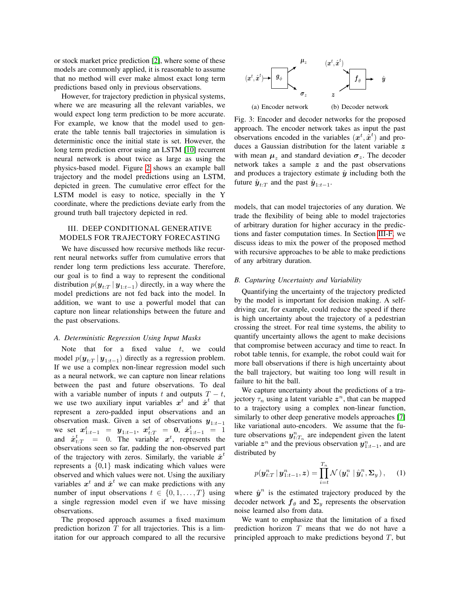or stock market price prediction [\[2\]](#page-7-1), where some of these models are commonly applied, it is reasonable to assume that no method will ever make almost exact long term predictions based only in previous observations.

However, for trajectory prediction in physical systems, where we are measuring all the relevant variables, we would expect long term prediction to be more accurate. For example, we know that the model used to generate the table tennis ball trajectories in simulation is deterministic once the initial state is set. However, the long term prediction error using an LSTM [\[10\]](#page-7-7) recurrent neural network is about twice as large as using the physics-based model. Figure [2](#page-1-0) shows an example ball trajectory and the model predictions using an LSTM, depicted in green. The cumulative error effect for the LSTM model is easy to notice, specially in the Y coordinate, where the predictions deviate early from the ground truth ball trajectory depicted in red.

# III. DEEP CONDITIONAL GENERATIVE MODELS FOR TRAJECTORY FORECASTING

We have discussed how recursive methods like recurrent neural networks suffer from cumulative errors that render long term predictions less accurate. Therefore, our goal is to find a way to represent the conditional distribution  $p(\mathbf{y}_{t:T} | \mathbf{y}_{1:t-1})$  directly, in a way where the model predictions are not fed back into the model. In addition, we want to use a powerful model that can capture non linear relationships between the future and the past observations.

#### *A. Deterministic Regression Using Input Masks*

Note that for a fixed value  $t$ , we could model  $p(\mathbf{y}_{t:T} | \mathbf{y}_{1:t-1})$  directly as a regression problem. If we use a complex non-linear regression model such as a neural network, we can capture non linear relations between the past and future observations. To deal with a variable number of inputs t and outputs  $T - t$ , we use two auxiliary input variables  $x^t$  and  $\hat{x}^t$  that represent a zero-padded input observations and an observation mask. Given a set of observations  $y_{1:t-1}$ we set  $x_{1:t-1}^t = y_{1:t-1}, x_{t:T}^t = 0, \hat{x}_{1:t-1}^t = 1$ and  $\hat{x}_{t:T}^t = 0$ . The variable  $x^t$ , represents the observations seen so far, padding the non-observed part of the trajectory with zeros. Similarly, the variable  $\hat{x}^t$ represents a  $\{0,1\}$  mask indicating which values were observed and which values were not. Using the auxiliary variables  $x^t$  and  $\hat{x}^t$  we can make predictions with any number of input observations  $t \in \{0, 1, \ldots, T\}$  using a single regression model even if we have missing observations.

The proposed approach assumes a fixed maximum prediction horizon  $T$  for all trajectories. This is a limitation for our approach compared to all the recursive

<span id="page-2-1"></span>

Fig. 3: Encoder and decoder networks for the proposed approach. The encoder network takes as input the past observations encoded in the variables  $(x^t, \hat{x}^t)$  and produces a Gaussian distribution for the latent variable  $z$ with mean  $\mu_z$  and standard deviation  $\sigma_z$ . The decoder network takes a sample  $z$  and the past observations and produces a trajectory estimate  $\hat{y}$  including both the future  $\hat{\mathbf{y}}_{t:T}$  and the past  $\hat{\mathbf{y}}_{1:t-1}$ .

models, that can model trajectories of any duration. We trade the flexibility of being able to model trajectories of arbitrary duration for higher accuracy in the predictions and faster computation times. In Section [III-F,](#page-4-0) we discuss ideas to mix the power of the proposed method with recursive approaches to be able to make predictions of any arbitrary duration.

# *B. Capturing Uncertainty and Variability*

Quantifying the uncertainty of the trajectory predicted by the model is important for decision making. A selfdriving car, for example, could reduce the speed if there is high uncertainty about the trajectory of a pedestrian crossing the street. For real time systems, the ability to quantify uncertainty allows the agent to make decisions that compromise between accuracy and time to react. In robot table tennis, for example, the robot could wait for more ball observations if there is high uncertainty about the ball trajectory, but waiting too long will result in failure to hit the ball.

We capture uncertainty about the predictions of a trajectory  $\tau_n$  using a latent variable  $z^n$ , that can be mapped to a trajectory using a complex non-linear function, similarly to other deep generative models approaches [\[7\]](#page-7-15) like variational auto-encoders. We assume that the future observations  $y_{t:T_n}^n$  are independent given the latent variable  $z^n$  and the previous observation  $y_{1:t-1}^n$ , and are distributed by

<span id="page-2-0"></span>
$$
p(\boldsymbol{y}_{t:T}^n \,|\, \boldsymbol{y}_{1:t-1}^n, \boldsymbol{z}) = \prod_{i=t}^{T_n} \mathcal{N}(\boldsymbol{y}_i^n \,|\, \hat{\boldsymbol{y}}_i^n, \boldsymbol{\Sigma}_y), \qquad (1)
$$

where  $\hat{y}^n$  is the estimated trajectory produced by the decoder network  $f_{\theta}$  and  $\Sigma_y$  represents the observation noise learned also from data.

We want to emphasize that the limitation of a fixed prediction horizon  $T$  means that we do not have a principled approach to make predictions beyond  $T$ , but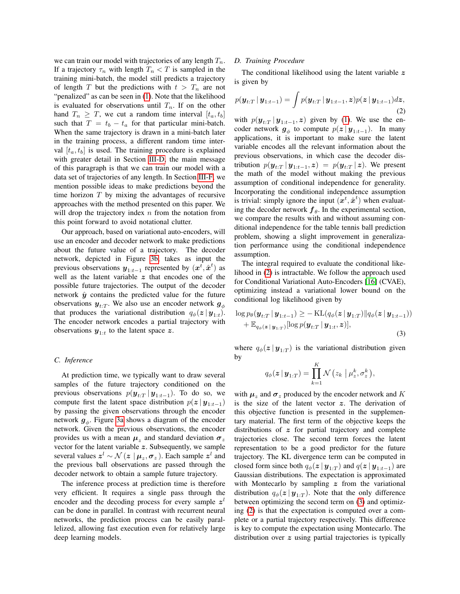we can train our model with trajectories of any length  $T_n$ . If a trajectory  $\tau_n$  with length  $T_n < T$  is sampled in the training mini-batch, the model still predicts a trajectory of length T but the predictions with  $t > T_n$  are not "penalized" as can be seen in [\(1\)](#page-2-0). Note that the likelihood is evaluated for observations until  $T_n$ . If on the other hand  $T_n \geq T$ , we cut a random time interval  $[t_a, t_b]$ such that  $T = t_b - t_a$  for that particular mini-batch. When the same trajectory is drawn in a mini-batch later in the training process, a different random time interval  $[t_a, t_b]$  is used. The training procedure is explained with greater detail in Section [III-D,](#page-3-0) the main message of this paragraph is that we can train our model with a data set of trajectories of any length. In Section [III-F,](#page-4-0) we mention possible ideas to make predictions beyond the time horizon  $T$  by mixing the advantages of recursive approaches with the method presented on this paper. We will drop the trajectory index  $n$  from the notation from this point forward to avoid notational clutter.

Our approach, based on variational auto-encoders, will use an encoder and decoder network to make predictions about the future value of a trajectory. The decoder network, depicted in Figure [3b,](#page-2-1) takes as input the previous observations  $y_{1:t-1}$  represented by  $(x^{\overline{t}}, \hat{x}^t)$  as well as the latent variable  $z$  that encodes one of the possible future trajectories. The output of the decoder network  $\hat{y}$  contains the predicted value for the future observations  $y_{t:T}$ . We also use an encoder network  $g_{\phi}$ that produces the variational distribution  $q_{\phi}(z \mid y_{1:t})$ . The encoder network encodes a partial trajectory with observations  $y_{1:t}$  to the latent space z.

## *C. Inference*

At prediction time, we typically want to draw several samples of the future trajectory conditioned on the previous observations  $p(\mathbf{y}_{t:T} | \mathbf{y}_{1:t-1})$ . To do so, we compute first the latent space distribution  $p(z | y_{1:t-1})$ by passing the given observations through the encoder network  $g_{\phi}$ . Figure [3a](#page-2-1) shows a diagram of the encoder network. Given the previous observations, the encoder provides us with a mean  $\mu_z$  and standard deviation  $\sigma_z$ vector for the latent variable  $z$ . Subsequently, we sample several values  $z^l \sim \mathcal{N}(z \mid \mu_z, \sigma_z)$ . Each sample  $z^l$  and the previous ball observations are passed through the decoder network to obtain a sample future trajectory.

The inference process at prediction time is therefore very efficient. It requires a single pass through the encoder and the decoding process for every sample  $z^{l}$ can be done in parallel. In contrast with recurrent neural networks, the prediction process can be easily parallelized, allowing fast execution even for relatively large deep learning models.

# <span id="page-3-0"></span>*D. Training Procedure*

The conditional likelihood using the latent variable  $z$ is given by

<span id="page-3-1"></span>
$$
p(\mathbf{y}_{t:T} | \mathbf{y}_{1:t-1}) = \int p(\mathbf{y}_{t:T} | \mathbf{y}_{1:t-1}, \mathbf{z}) p(\mathbf{z} | \mathbf{y}_{1:t-1}) d\mathbf{z},
$$
\n(2)

with  $p(\mathbf{y}_{t:T} | \mathbf{y}_{1:t-1}, z)$  given by [\(1\)](#page-2-0). We use the encoder network  $g_{\phi}$  to compute  $p(z | y_{1:t-1})$ . In many applications, it is important to make sure the latent variable encodes all the relevant information about the previous observations, in which case the decoder distribution  $p(\mathbf{y}_{t:T} | \mathbf{y}_{1:t-1}, \mathbf{z}) = p(\mathbf{y}_{t:T} | \mathbf{z})$ . We present the math of the model without making the previous assumption of conditional independence for generality. Incorporating the conditional independence assumption is trivial: simply ignore the input  $(\boldsymbol{x}^t, \hat{\boldsymbol{x}}^t)$  when evaluating the decoder network  $f_{\theta}$ . In the experimental section, we compare the results with and without assuming conditional independence for the table tennis ball prediction problem, showing a slight improvement in generalization performance using the conditional independence assumption.

The integral required to evaluate the conditional likelihood in [\(2\)](#page-3-1) is intractable. We follow the approach used for Conditional Variational Auto-Encoders [\[16\]](#page-7-5) (CVAE), optimizing instead a variational lower bound on the conditional log likelihood given by

<span id="page-3-2"></span>
$$
\log p_{\theta}(\boldsymbol{y}_{t:T} | \boldsymbol{y}_{1:t-1}) \ge -\mathrm{KL}(q_{\phi}(\boldsymbol{z} | \boldsymbol{y}_{1:T}) || q_{\phi}(\boldsymbol{z} | \boldsymbol{y}_{1:t-1})) + \mathbb{E}_{q_{\phi}(\boldsymbol{z} | \boldsymbol{y}_{1:T})}[\log p(\boldsymbol{y}_{t:T} | \boldsymbol{y}_{1:t}, \boldsymbol{z})],
$$
\n(3)

where  $q_{\phi}(z | y_{1:T})$  is the variational distribution given by

$$
q_{\phi}(\boldsymbol{z} \mid \boldsymbol{y}_{1:T}) = \prod_{k=1}^{K} \mathcal{N} \left( z_k \mid \mu_z^k, \sigma_z^k \right),
$$

with  $\mu_z$  and  $\sigma_z$  produced by the encoder network and K is the size of the latent vector  $z$ . The derivation of this objective function is presented in the supplementary material. The first term of the objective keeps the distributions of  $z$  for partial trajectory and complete trajectories close. The second term forces the latent representation to be a good predictor for the future trajectory. The KL divergence term can be computed in closed form since both  $q_{\phi}(z \, | \, \boldsymbol{y}_{1:T})$  and  $q(z \, | \, \boldsymbol{y}_{1:t-1})$  are Gaussian distributions. The expectation is approximated with Montecarlo by sampling  $z$  from the variational distribution  $q_{\phi}(z \mid y_{1:T})$ . Note that the only difference between optimizing the second term on [\(3\)](#page-3-2) and optimizing [\(2\)](#page-3-1) is that the expectation is computed over a complete or a partial trajectory respectively. This difference is key to compute the expectation using Montecarlo. The distribution over z using partial trajectories is typically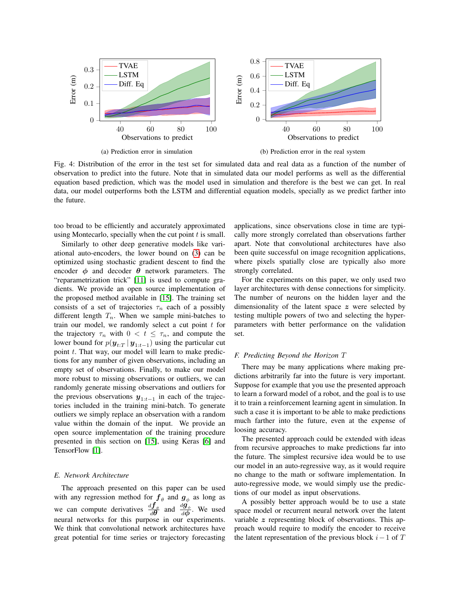<span id="page-4-1"></span>

Fig. 4: Distribution of the error in the test set for simulated data and real data as a function of the number of observation to predict into the future. Note that in simulated data our model performs as well as the differential equation based prediction, which was the model used in simulation and therefore is the best we can get. In real data, our model outperforms both the LSTM and differential equation models, specially as we predict farther into the future.

too broad to be efficiently and accurately approximated using Montecarlo, specially when the cut point  $t$  is small.

Similarly to other deep generative models like variational auto-encoders, the lower bound on [\(3\)](#page-3-2) can be optimized using stochastic gradient descent to find the encoder  $\phi$  and decoder  $\theta$  network parameters. The "reparametrization trick" [\[11\]](#page-7-6) is used to compute gradients. We provide an open source implementation of the proposed method available in [\[15\]](#page-7-9). The training set consists of a set of trajectories  $\tau_n$  each of a possibly different length  $T_n$ . When we sample mini-batches to train our model, we randomly select a cut point  $t$  for the trajectory  $\tau_n$  with  $0 < t \leq \tau_n$ , and compute the lower bound for  $p(\mathbf{y}_{t:T} | \mathbf{y}_{1:t-1})$  using the particular cut point  $t$ . That way, our model will learn to make predictions for any number of given observations, including an empty set of observations. Finally, to make our model more robust to missing observations or outliers, we can randomly generate missing observations and outliers for the previous observations  $y_{1:t-1}$  in each of the trajectories included in the training mini-batch. To generate outliers we simply replace an observation with a random value within the domain of the input. We provide an open source implementation of the training procedure presented in this section on [\[15\]](#page-7-9), using Keras [\[6\]](#page-7-16) and TensorFlow [\[1\]](#page-6-0).

#### *E. Network Architecture*

The approach presented on this paper can be used with any regression method for  $f_{\theta}$  and  $g_{\phi}$  as long as we can compute derivatives  $\frac{d\hat{f}_{\theta}}{d\theta}$  and  $\frac{d\hat{g}_{\phi}}{d\phi}$ . We used neural networks for this purpose in our experiments. We think that convolutional network architectures have great potential for time series or trajectory forecasting applications, since observations close in time are typically more strongly correlated than observations farther apart. Note that convolutional architectures have also been quite successful on image recognition applications, where pixels spatially close are typically also more strongly correlated.

For the experiments on this paper, we only used two layer architectures with dense connections for simplicity. The number of neurons on the hidden layer and the dimensionality of the latent space z were selected by testing multiple powers of two and selecting the hyperparameters with better performance on the validation set.

#### <span id="page-4-0"></span>*F. Predicting Beyond the Horizon* T

There may be many applications where making predictions arbitrarily far into the future is very important. Suppose for example that you use the presented approach to learn a forward model of a robot, and the goal is to use it to train a reinforcement learning agent in simulation. In such a case it is important to be able to make predictions much farther into the future, even at the expense of loosing accuracy.

The presented approach could be extended with ideas from recursive approaches to make predictions far into the future. The simplest recursive idea would be to use our model in an auto-regressive way, as it would require no change to the math or software implementation. In auto-regressive mode, we would simply use the predictions of our model as input observations.

A possibly better approach would be to use a state space model or recurrent neural network over the latent variable z representing block of observations. This approach would require to modify the encoder to receive the latent representation of the previous block  $i-1$  of T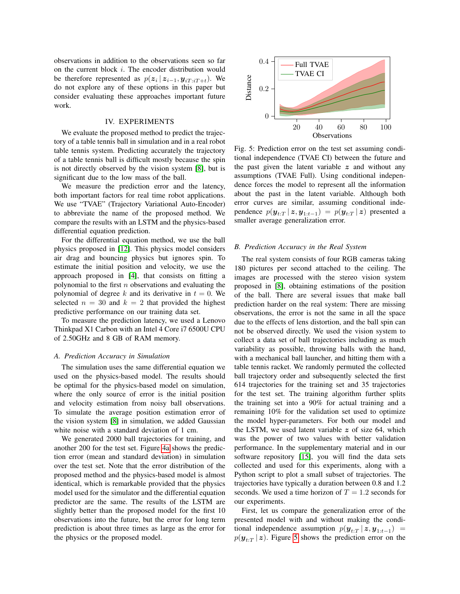observations in addition to the observations seen so far on the current block i. The encoder distribution would be therefore represented as  $p(z_i | z_{i-1}, y_{iT:iT+t})$ . We do not explore any of these options in this paper but consider evaluating these approaches important future work.

#### IV. EXPERIMENTS

We evaluate the proposed method to predict the trajectory of a table tennis ball in simulation and in a real robot table tennis system. Predicting accurately the trajectory of a table tennis ball is difficult mostly because the spin is not directly observed by the vision system [\[8\]](#page-7-10), but is significant due to the low mass of the ball.

We measure the prediction error and the latency, both important factors for real time robot applications. We use "TVAE" (Trajectory Variational Auto-Encoder) to abbreviate the name of the proposed method. We compare the results with an LSTM and the physics-based differential equation prediction.

For the differential equation method, we use the ball physics proposed in [\[12\]](#page-7-2). This physics model considers air drag and bouncing physics but ignores spin. To estimate the initial position and velocity, we use the approach proposed in [\[4\]](#page-7-8), that consists on fitting a polynomial to the first  $n$  observations and evaluating the polynomial of degree k and its derivative in  $t = 0$ . We selected  $n = 30$  and  $k = 2$  that provided the highest predictive performance on our training data set.

To measure the prediction latency, we used a Lenovo Thinkpad X1 Carbon with an Intel 4 Core i7 6500U CPU of 2.50GHz and 8 GB of RAM memory.

# *A. Prediction Accuracy in Simulation*

The simulation uses the same differential equation we used on the physics-based model. The results should be optimal for the physics-based model on simulation, where the only source of error is the initial position and velocity estimation from noisy ball observations. To simulate the average position estimation error of the vision system [\[8\]](#page-7-10) in simulation, we added Gaussian white noise with a standard deviation of 1 cm.

We generated 2000 ball trajectories for training, and another 200 for the test set. Figure [4a](#page-4-1) shows the prediction error (mean and standard deviation) in simulation over the test set. Note that the error distribution of the proposed method and the physics-based model is almost identical, which is remarkable provided that the physics model used for the simulator and the differential equation predictor are the same. The results of the LSTM are slightly better than the proposed model for the first 10 observations into the future, but the error for long term prediction is about three times as large as the error for the physics or the proposed model.

<span id="page-5-0"></span>

Fig. 5: Prediction error on the test set assuming conditional independence (TVAE CI) between the future and the past given the latent variable  $z$  and without any assumptions (TVAE Full). Using conditional independence forces the model to represent all the information about the past in the latent variable. Although both error curves are similar, assuming conditional independence  $p(\boldsymbol{y}_{t:T} | \boldsymbol{z}, \boldsymbol{y}_{1:t-1}) = p(\boldsymbol{y}_{t:T} | \boldsymbol{z})$  presented a smaller average generalization error.

#### *B. Prediction Accuracy in the Real System*

The real system consists of four RGB cameras taking 180 pictures per second attached to the ceiling. The images are processed with the stereo vision system proposed in [\[8\]](#page-7-10), obtaining estimations of the position of the ball. There are several issues that make ball prediction harder on the real system: There are missing observations, the error is not the same in all the space due to the effects of lens distortion, and the ball spin can not be observed directly. We used the vision system to collect a data set of ball trajectories including as much variability as possible, throwing balls with the hand, with a mechanical ball launcher, and hitting them with a table tennis racket. We randomly permuted the collected ball trajectory order and subsequently selected the first 614 trajectories for the training set and 35 trajectories for the test set. The training algorithm further splits the training set into a 90% for actual training and a remaining 10% for the validation set used to optimize the model hyper-parameters. For both our model and the LSTM, we used latent variable  $z$  of size 64, which was the power of two values with better validation performance. In the supplementary material and in our software repository [\[15\]](#page-7-9), you will find the data sets collected and used for this experiments, along with a Python script to plot a small subset of trajectories. The trajectories have typically a duration between 0.8 and 1.2 seconds. We used a time horizon of  $T = 1.2$  seconds for our experiments.

First, let us compare the generalization error of the presented model with and without making the conditional independence assumption  $p(\mathbf{y}_{t:T} | \mathbf{z}, \mathbf{y}_{1:t-1}) =$  $p(\mathbf{y}_{t:T} | \mathbf{z})$ . Figure [5](#page-5-0) shows the prediction error on the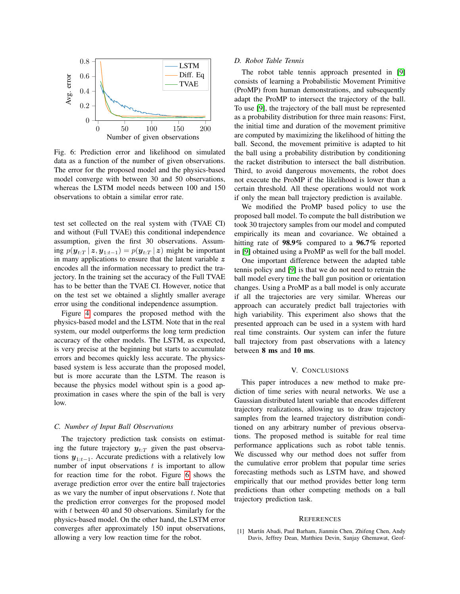<span id="page-6-1"></span>

Fig. 6: Prediction error and likelihood on simulated data as a function of the number of given observations. The error for the proposed model and the physics-based model converge with between 30 and 50 observations, whereas the LSTM model needs between 100 and 150 observations to obtain a similar error rate.

test set collected on the real system with (TVAE CI) and without (Full TVAE) this conditional independence assumption, given the first 30 observations. Assuming  $p(\mathbf{y}_{t:T} | \mathbf{z}, \mathbf{y}_{1:t-1}) = p(\mathbf{y}_{t:T} | \mathbf{z})$  might be important in many applications to ensure that the latent variable  $z$ encodes all the information necessary to predict the trajectory. In the training set the accuracy of the Full TVAE has to be better than the TVAE CI. However, notice that on the test set we obtained a slightly smaller average error using the conditional independence assumption.

Figure [4](#page-4-1) compares the proposed method with the physics-based model and the LSTM. Note that in the real system, our model outperforms the long term prediction accuracy of the other models. The LSTM, as expected, is very precise at the beginning but starts to accumulate errors and becomes quickly less accurate. The physicsbased system is less accurate than the proposed model, but is more accurate than the LSTM. The reason is because the physics model without spin is a good approximation in cases where the spin of the ball is very low.

#### *C. Number of Input Ball Observations*

The trajectory prediction task consists on estimating the future trajectory  $y_{t:T}$  given the past observations  $y_{1:t-1}$ . Accurate predictions with a relatively low number of input observations  $t$  is important to allow for reaction time for the robot. Figure [6](#page-6-1) shows the average prediction error over the entire ball trajectories as we vary the number of input observations  $t$ . Note that the prediction error converges for the proposed model with t between 40 and 50 observations. Similarly for the physics-based model. On the other hand, the LSTM error converges after approximately 150 input observations, allowing a very low reaction time for the robot.

#### *D. Robot Table Tennis*

The robot table tennis approach presented in [\[9\]](#page-7-17) consists of learning a Probabilistic Movement Primitive (ProMP) from human demonstrations, and subsequently adapt the ProMP to intersect the trajectory of the ball. To use [\[9\]](#page-7-17), the trajectory of the ball must be represented as a probability distribution for three main reasons: First, the initial time and duration of the movement primitive are computed by maximizing the likelihood of hitting the ball. Second, the movement primitive is adapted to hit the ball using a probability distribution by conditioning the racket distribution to intersect the ball distribution. Third, to avoid dangerous movements, the robot does not execute the ProMP if the likelihood is lower than a certain threshold. All these operations would not work if only the mean ball trajectory prediction is available.

We modified the ProMP based policy to use the proposed ball model. To compute the ball distribution we took 30 trajectory samples from our model and computed empirically its mean and covariance. We obtained a hitting rate of 98.9% compared to a 96.7% reported in [\[9\]](#page-7-17) obtained using a ProMP as well for the ball model.

One important difference between the adapted table tennis policy and [\[9\]](#page-7-17) is that we do not need to retrain the ball model every time the ball gun position or orientation changes. Using a ProMP as a ball model is only accurate if all the trajectories are very similar. Whereas our approach can accurately predict ball trajectories with high variability. This experiment also shows that the presented approach can be used in a system with hard real time constraints. Our system can infer the future ball trajectory from past observations with a latency between 8 ms and 10 ms.

#### V. CONCLUSIONS

This paper introduces a new method to make prediction of time series with neural networks. We use a Gaussian distributed latent variable that encodes different trajectory realizations, allowing us to draw trajectory samples from the learned trajectory distribution conditioned on any arbitrary number of previous observations. The proposed method is suitable for real time performance applications such as robot table tennis. We discussed why our method does not suffer from the cumulative error problem that popular time series forecasting methods such as LSTM have, and showed empirically that our method provides better long term predictions than other competing methods on a ball trajectory prediction task.

#### **REFERENCES**

<span id="page-6-0"></span>[1] Martín Abadi, Paul Barham, Jianmin Chen, Zhifeng Chen, Andy Davis, Jeffrey Dean, Matthieu Devin, Sanjay Ghemawat, Geof